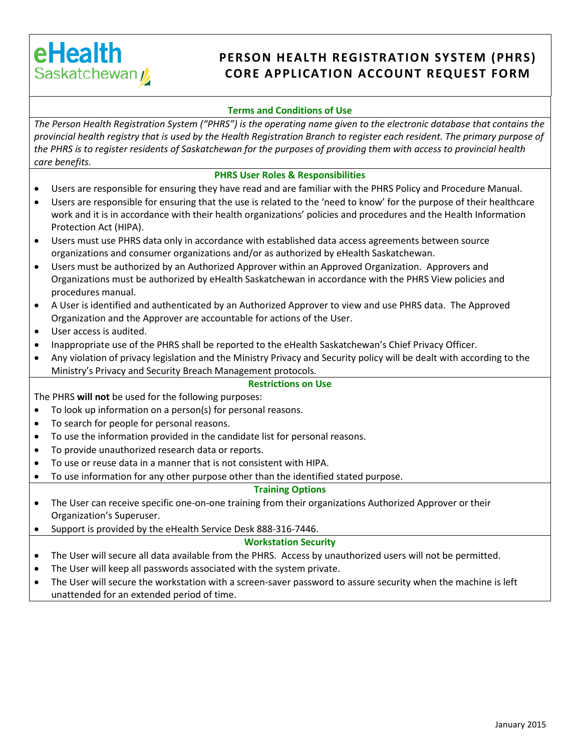# eHealth Saskatchewan /

## **PERSON HEALTH REGISTRATION SYSTEM (PHRS) CORE APPLICATION ACCOUNT REQUEST FORM**

### **Terms and Conditions of Use**

*The Person Health Registration System ("PHRS") is the operating name given to the electronic database that contains the provincial health registry that is used by the Health Registration Branch to register each resident. The primary purpose of the PHRS is to register residents of Saskatchewan for the purposes of providing them with access to provincial health care benefits.*

#### **PHRS User Roles & Responsibilities**

- Users are responsible for ensuring they have read and are familiar with the PHRS Policy and Procedure Manual.
- Users are responsible for ensuring that the use is related to the 'need to know' for the purpose of their healthcare work and it is in accordance with their health organizations' policies and procedures and the Health Information Protection Act (HIPA).
- Users must use PHRS data only in accordance with established data access agreements between source organizations and consumer organizations and/or as authorized by eHealth Saskatchewan.
- Users must be authorized by an Authorized Approver within an Approved Organization. Approvers and Organizations must be authorized by eHealth Saskatchewan in accordance with the PHRS View policies and procedures manual.
- A User is identified and authenticated by an Authorized Approver to view and use PHRS data. The Approved Organization and the Approver are accountable for actions of the User.
- User access is audited.
- Inappropriate use of the PHRS shall be reported to the eHealth Saskatchewan's Chief Privacy Officer.
- Any violation of privacy legislation and the Ministry Privacy and Security policy will be dealt with according to the Ministry's Privacy and Security Breach Management protocols.

#### **Restrictions on Use**

The PHRS **will not** be used for the following purposes:

- To look up information on a person(s) for personal reasons.
- To search for people for personal reasons.
- To use the information provided in the candidate list for personal reasons.
- To provide unauthorized research data or reports.
- To use or reuse data in a manner that is not consistent with HIPA.
- To use information for any other purpose other than the identified stated purpose.

#### **Training Options**

- The User can receive specific one-on-one training from their organizations Authorized Approver or their Organization's Superuser.
- Support is provided by the eHealth Service Desk 888-316-7446.

#### **Workstation Security**

- The User will secure all data available from the PHRS. Access by unauthorized users will not be permitted.
- The User will keep all passwords associated with the system private.
- The User will secure the workstation with a screen-saver password to assure security when the machine is left unattended for an extended period of time.